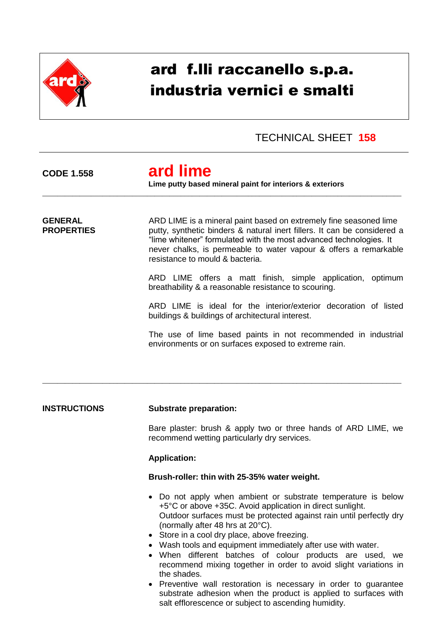

# ard f.lli raccanello s.p.a. industria vernici e smalti

### TECHNICAL SHEET **158**

# **CODE 1.558 ard lime**

**Lime putty based mineral paint for interiors & exteriors**

**GENERAL** ARD LIME is a mineral paint based on extremely fine seasoned lime **PROPERTIES** putty, synthetic binders & natural inert fillers. It can be considered a "lime whitener" formulated with the most advanced technologies. It never chalks, is permeable to water vapour & offers a remarkable resistance to mould & bacteria.

\_\_\_\_\_\_\_\_\_\_\_\_\_\_\_\_\_\_\_\_\_\_\_\_\_\_\_\_\_\_\_\_\_\_\_\_\_\_\_\_\_\_\_\_\_\_\_\_\_\_\_\_\_\_\_\_\_\_\_\_\_\_\_\_\_\_\_\_\_\_\_\_\_\_\_\_\_\_\_\_\_\_\_\_\_\_\_\_\_\_\_\_\_\_\_\_

\_\_\_\_\_\_\_\_\_\_\_\_\_\_\_\_\_\_\_\_\_\_\_\_\_\_\_\_\_\_\_\_\_\_\_\_\_\_\_\_\_\_\_\_\_\_\_\_\_\_\_\_\_\_\_\_\_\_\_\_\_\_\_\_\_\_\_\_\_\_\_\_\_\_\_\_\_\_\_\_\_\_\_\_\_\_\_\_\_\_\_\_\_\_\_\_

ARD LIME offers a matt finish, simple application, optimum breathability & a reasonable resistance to scouring.

ARD LIME is ideal for the interior/exterior decoration of listed buildings & buildings of architectural interest.

The use of lime based paints in not recommended in industrial environments or on surfaces exposed to extreme rain.

#### **INSTRUCTIONS Substrate preparation:**

Bare plaster: brush & apply two or three hands of ARD LIME, we recommend wetting particularly dry services.

#### **Application:**

#### **Brush-roller: thin with 25-35% water weight.**

- Do not apply when ambient or substrate temperature is below +5°C or above +35C. Avoid application in direct sunlight. Outdoor surfaces must be protected against rain until perfectly dry (normally after 48 hrs at 20°C).
- Store in a cool dry place, above freezing.
- Wash tools and equipment immediately after use with water.
- When different batches of colour products are used, we recommend mixing together in order to avoid slight variations in the shades.
- Preventive wall restoration is necessary in order to guarantee substrate adhesion when the product is applied to surfaces with salt efflorescence or subject to ascending humidity.